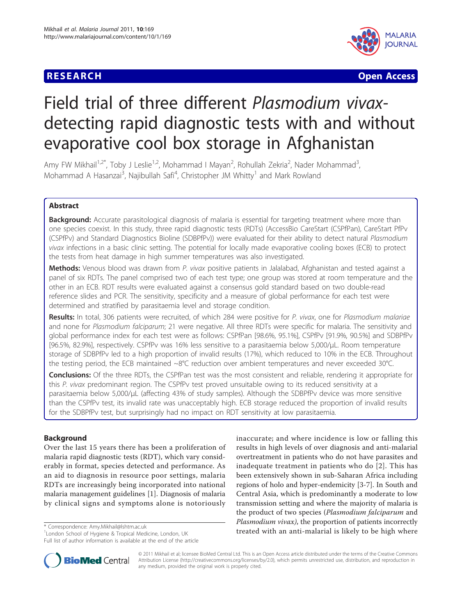## **RESEARCH CONTROL** RESEARCH COMMUNISMENT CONTROL CONTROL CONTROL CONTROL CONTROL CONTROL CONTROL CONTROL CONTROL CONTROL CONTROL CONTROL CONTROL CONTROL CONTROL CONTROL CONTROL CONTROL CONTROL CONTROL CONTROL CONTROL CONTR



# Field trial of three different Plasmodium vivaxdetecting rapid diagnostic tests with and without evaporative cool box storage in Afghanistan

Amy FW Mikhail<sup>1,2\*</sup>, Toby J Leslie<sup>1,2</sup>, Mohammad I Mayan<sup>2</sup>, Rohullah Zekria<sup>2</sup>, Nader Mohammad<sup>3</sup> , Mohammad A Hasanzai<sup>3</sup>, Najibullah Safi<sup>4</sup>, Christopher JM Whitty<sup>1</sup> and Mark Rowland

## Abstract

**Background:** Accurate parasitological diagnosis of malaria is essential for targeting treatment where more than one species coexist. In this study, three rapid diagnostic tests (RDTs) (AccessBio CareStart (CSPfPan), CareStart PfPv (CSPfPv) and Standard Diagnostics Bioline (SDBPfPv)) were evaluated for their ability to detect natural Plasmodium vivax infections in a basic clinic setting. The potential for locally made evaporative cooling boxes (ECB) to protect the tests from heat damage in high summer temperatures was also investigated.

Methods: Venous blood was drawn from P. vivax positive patients in Jalalabad, Afghanistan and tested against a panel of six RDTs. The panel comprised two of each test type; one group was stored at room temperature and the other in an ECB. RDT results were evaluated against a consensus gold standard based on two double-read reference slides and PCR. The sensitivity, specificity and a measure of global performance for each test were determined and stratified by parasitaemia level and storage condition.

Results: In total, 306 patients were recruited, of which 284 were positive for P. vivax, one for Plasmodium malariae and none for Plasmodium falciparum; 21 were negative. All three RDTs were specific for malaria. The sensitivity and global performance index for each test were as follows: CSPfPan [98.6%, 95.1%], CSPfPv [91.9%, 90.5%] and SDBPfPv [96.5%, 82.9%], respectively. CSPfPv was 16% less sensitive to a parasitaemia below 5,000/μL. Room temperature storage of SDBPfPv led to a high proportion of invalid results (17%), which reduced to 10% in the ECB. Throughout the testing period, the ECB maintained ~8°C reduction over ambient temperatures and never exceeded 30°C.

Conclusions: Of the three RDTs, the CSPfPan test was the most consistent and reliable, rendering it appropriate for this P. vivax predominant region. The CSPfPv test proved unsuitable owing to its reduced sensitivity at a parasitaemia below 5,000/μL (affecting 43% of study samples). Although the SDBPfPv device was more sensitive than the CSPfPv test, its invalid rate was unacceptably high. ECB storage reduced the proportion of invalid results for the SDBPfPv test, but surprisingly had no impact on RDT sensitivity at low parasitaemia.

## Background

Over the last 15 years there has been a proliferation of malaria rapid diagnostic tests (RDT), which vary considerably in format, species detected and performance. As an aid to diagnosis in resource poor settings, malaria RDTs are increasingly being incorporated into national malaria management guidelines [\[1](#page-13-0)]. Diagnosis of malaria by clinical signs and symptoms alone is notoriously

<sup>1</sup> London School of Hygiene & Tropical Medicine, London, UK Full list of author information is available at the end of the article

inaccurate; and where incidence is low or falling this results in high levels of over diagnosis and anti-malarial overtreatment in patients who do not have parasites and inadequate treatment in patients who do [[2](#page-13-0)]. This has been extensively shown in sub-Saharan Africa including regions of holo and hyper-endemicity [[3-7](#page-13-0)]. In South and Central Asia, which is predominantly a moderate to low transmission setting and where the majority of malaria is the product of two species (Plasmodium falciparum and Plasmodium vivax), the proportion of patients incorrectly \* Correspondence: [Amy.Mikhail@lshtm.ac.uk](mailto:Amy.Mikhail@lshtm.ac.uk)<br><sup>1</sup> london School of Hygiene & Tropical Medicine London UK<br>**treated with an anti-malarial is likely to be high where** 



© 2011 Mikhail et al; licensee BioMed Central Ltd. This is an Open Access article distributed under the terms of the Creative Commons Attribution License [\(http://creativecommons.org/licenses/by/2.0](http://creativecommons.org/licenses/by/2.0)), which permits unrestricted use, distribution, and reproduction in any medium, provided the original work is properly cited.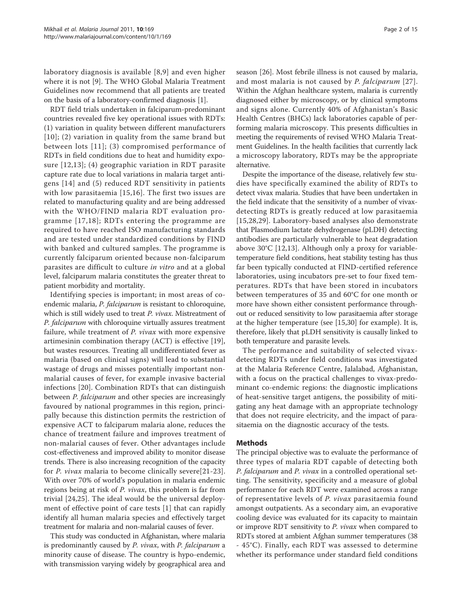laboratory diagnosis is available [[8,9\]](#page-13-0) and even higher where it is not [\[9](#page-13-0)]. The WHO Global Malaria Treatment Guidelines now recommend that all patients are treated on the basis of a laboratory-confirmed diagnosis [[1\]](#page-13-0).

RDT field trials undertaken in falciparum-predominant countries revealed five key operational issues with RDTs: (1) variation in quality between different manufacturers [[10\]](#page-13-0); (2) variation in quality from the same brand but between lots [[11\]](#page-13-0); (3) compromised performance of RDTs in field conditions due to heat and humidity exposure [[12](#page-13-0),[13\]](#page-13-0); (4) geographic variation in RDT parasite capture rate due to local variations in malaria target antigens [[14\]](#page-13-0) and (5) reduced RDT sensitivity in patients with low parasitaemia [[15](#page-13-0),[16\]](#page-13-0). The first two issues are related to manufacturing quality and are being addressed with the WHO/FIND malaria RDT evaluation programme [[17,18](#page-13-0)]; RDTs entering the programme are required to have reached ISO manufacturing standards and are tested under standardized conditions by FIND with banked and cultured samples. The programme is currently falciparum oriented because non-falciparum parasites are difficult to culture in vitro and at a global level, falciparum malaria constitutes the greater threat to patient morbidity and mortality.

Identifying species is important; in most areas of coendemic malaria, P. falciparum is resistant to chloroquine, which is still widely used to treat P. vivax. Mistreatment of P. falciparum with chloroquine virtually assures treatment failure, while treatment of *P. vivax* with more expensive artimesinin combination therapy (ACT) is effective [\[19](#page-14-0)], but wastes resources. Treating all undifferentiated fever as malaria (based on clinical signs) will lead to substantial wastage of drugs and misses potentially important nonmalarial causes of fever, for example invasive bacterial infections [[20](#page-14-0)]. Combination RDTs that can distinguish between *P. falciparum* and other species are increasingly favoured by national programmes in this region, principally because this distinction permits the restriction of expensive ACT to falciparum malaria alone, reduces the chance of treatment failure and improves treatment of non-malarial causes of fever. Other advantages include cost-effectiveness and improved ability to monitor disease trends. There is also increasing recognition of the capacity for P. vivax malaria to become clinically severe[[21](#page-14-0)-[23](#page-14-0)]. With over 70% of world's population in malaria endemic regions being at risk of P. vivax, this problem is far from trivial [\[24](#page-14-0),[25\]](#page-14-0). The ideal would be the universal deployment of effective point of care tests [[1](#page-13-0)] that can rapidly identify all human malaria species and effectively target treatment for malaria and non-malarial causes of fever.

This study was conducted in Afghanistan, where malaria is predominantly caused by P. vivax, with P. falciparum a minority cause of disease. The country is hypo-endemic, with transmission varying widely by geographical area and season [[26\]](#page-14-0). Most febrile illness is not caused by malaria, and most malaria is not caused by P. falciparum [[27\]](#page-14-0). Within the Afghan healthcare system, malaria is currently diagnosed either by microscopy, or by clinical symptoms and signs alone. Currently 40% of Afghanistan's Basic Health Centres (BHCs) lack laboratories capable of performing malaria microscopy. This presents difficulties in meeting the requirements of revised WHO Malaria Treatment Guidelines. In the health facilities that currently lack a microscopy laboratory, RDTs may be the appropriate alternative.

Despite the importance of the disease, relatively few studies have specifically examined the ability of RDTs to detect vivax malaria. Studies that have been undertaken in the field indicate that the sensitivity of a number of vivaxdetecting RDTs is greatly reduced at low parasitaemia [[15](#page-13-0),[28,29](#page-14-0)]. Laboratory-based analyses also demonstrate that Plasmodium lactate dehydrogenase (pLDH) detecting antibodies are particularly vulnerable to heat degradation above 30°C [[12,13\]](#page-13-0). Although only a proxy for variabletemperature field conditions, heat stability testing has thus far been typically conducted at FIND-certified reference laboratories, using incubators pre-set to four fixed temperatures. RDTs that have been stored in incubators between temperatures of 35 and 60°C for one month or more have shown either consistent performance throughout or reduced sensitivity to low parasitaemia after storage at the higher temperature (see [\[15](#page-13-0)[,30](#page-14-0)] for example). It is, therefore, likely that pLDH sensitivity is causally linked to both temperature and parasite levels.

The performance and suitability of selected vivaxdetecting RDTs under field conditions was investigated at the Malaria Reference Centre, Jalalabad, Afghanistan, with a focus on the practical challenges to vivax-predominant co-endemic regions: the diagnostic implications of heat-sensitive target antigens, the possibility of mitigating any heat damage with an appropriate technology that does not require electricity, and the impact of parasitaemia on the diagnostic accuracy of the tests.

#### Methods

The principal objective was to evaluate the performance of three types of malaria RDT capable of detecting both P. falciparum and P. vivax in a controlled operational setting. The sensitivity, specificity and a measure of global performance for each RDT were examined across a range of representative levels of P. vivax parasitaemia found amongst outpatients. As a secondary aim, an evaporative cooling device was evaluated for its capacity to maintain or improve RDT sensitivity to P. vivax when compared to RDTs stored at ambient Afghan summer temperatures (38 - 45°C). Finally, each RDT was assessed to determine whether its performance under standard field conditions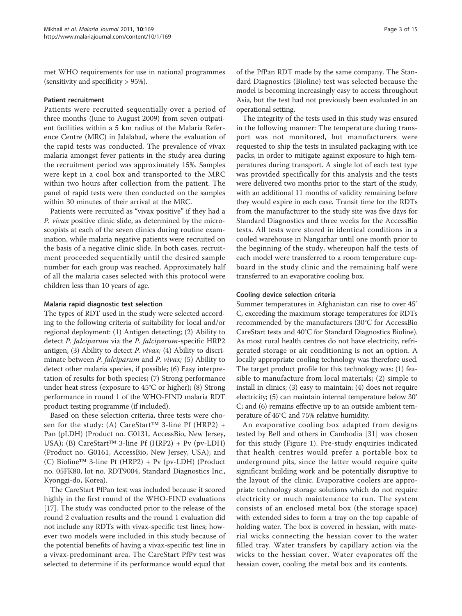met WHO requirements for use in national programmes (sensitivity and specificity > 95%).

#### Patient recruitment

Patients were recruited sequentially over a period of three months (June to August 2009) from seven outpatient facilities within a 5 km radius of the Malaria Reference Centre (MRC) in Jalalabad, where the evaluation of the rapid tests was conducted. The prevalence of vivax malaria amongst fever patients in the study area during the recruitment period was approximately 15%. Samples were kept in a cool box and transported to the MRC within two hours after collection from the patient. The panel of rapid tests were then conducted on the samples within 30 minutes of their arrival at the MRC.

Patients were recruited as "vivax positive" if they had a P. vivax positive clinic slide, as determined by the microscopists at each of the seven clinics during routine examination, while malaria negative patients were recruited on the basis of a negative clinic slide. In both cases, recruitment proceeded sequentially until the desired sample number for each group was reached. Approximately half of all the malaria cases selected with this protocol were children less than 10 years of age.

#### Malaria rapid diagnostic test selection

The types of RDT used in the study were selected according to the following criteria of suitability for local and/or regional deployment: (1) Antigen detecting; (2) Ability to detect P. falciparum via the P. falciparum-specific HRP2 antigen; (3) Ability to detect P. vivax; (4) Ability to discriminate between *P. falciparum* and *P. vivax*; (5) Ability to detect other malaria species, if possible; (6) Easy interpretation of results for both species; (7) Strong performance under heat stress (exposure to 45°C or higher); (8) Strong performance in round 1 of the WHO-FIND malaria RDT product testing programme (if included).

Based on these selection criteria, three tests were chosen for the study: (A) CareStart<sup>™</sup> 3-line Pf (HRP2) + Pan (pLDH) (Product no. G0131, AccessBio, New Jersey, USA); (B) CareStart<sup>™</sup> 3-line Pf (HRP2) + Pv (pv-LDH) (Product no. G0161, AccessBio, New Jersey, USA); and (C) Bioline™ 3-line Pf (HRP2) + Pv (pv-LDH) (Product no. 05FK80, lot no. RDT9004, Standard Diagnostics Inc., Kyonggi-do, Korea).

The CareStart PfPan test was included because it scored highly in the first round of the WHO-FIND evaluations [[17\]](#page-13-0). The study was conducted prior to the release of the round 2 evaluation results and the round 1 evaluation did not include any RDTs with vivax-specific test lines; however two models were included in this study because of the potential benefits of having a vivax-specific test line in a vivax-predominant area. The CareStart PfPv test was selected to determine if its performance would equal that

of the PfPan RDT made by the same company. The Standard Diagnostics (Bioline) test was selected because the model is becoming increasingly easy to access throughout Asia, but the test had not previously been evaluated in an operational setting.

The integrity of the tests used in this study was ensured in the following manner: The temperature during transport was not monitored, but manufacturers were requested to ship the tests in insulated packaging with ice packs, in order to mitigate against exposure to high temperatures during transport. A single lot of each test type was provided specifically for this analysis and the tests were delivered two months prior to the start of the study, with an additional 11 months of validity remaining before they would expire in each case. Transit time for the RDTs from the manufacturer to the study site was five days for Standard Diagnostics and three weeks for the AccessBio tests. All tests were stored in identical conditions in a cooled warehouse in Nangarhar until one month prior to the beginning of the study, whereupon half the tests of each model were transferred to a room temperature cupboard in the study clinic and the remaining half were transferred to an evaporative cooling box.

#### Cooling device selection criteria

Summer temperatures in Afghanistan can rise to over 45° C, exceeding the maximum storage temperatures for RDTs recommended by the manufacturers (30°C for AccessBio CareStart tests and 40°C for Standard Diagnostics Bioline). As most rural health centres do not have electricity, refrigerated storage or air conditioning is not an option. A locally appropriate cooling technology was therefore used. The target product profile for this technology was: (1) feasible to manufacture from local materials; (2) simple to install in clinics; (3) easy to maintain; (4) does not require electricity; (5) can maintain internal temperature below 30° C; and (6) remains effective up to an outside ambient temperature of 45°C and 75% relative humidity.

An evaporative cooling box adapted from designs tested by Bell and others in Cambodia [[31](#page-14-0)] was chosen for this study (Figure [1](#page-3-0)). Pre-study enquiries indicated that health centres would prefer a portable box to underground pits, since the latter would require quite significant building work and be potentially disruptive to the layout of the clinic. Evaporative coolers are appropriate technology storage solutions which do not require electricity or much maintenance to run. The system consists of an enclosed metal box (the storage space) with extended sides to form a tray on the top capable of holding water. The box is covered in hessian, with material wicks connecting the hessian cover to the water filled tray. Water transfers by capillary action via the wicks to the hessian cover. Water evaporates off the hessian cover, cooling the metal box and its contents.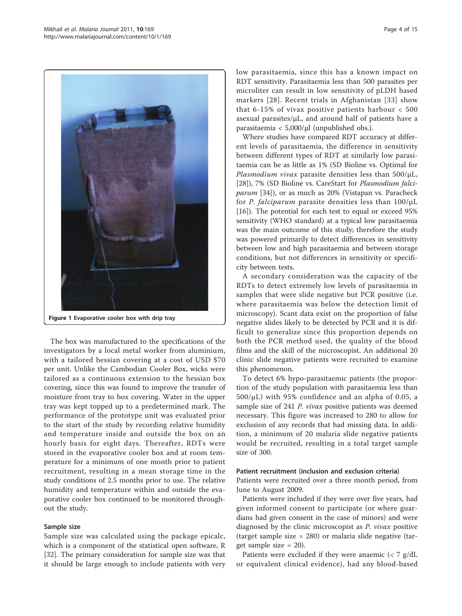<span id="page-3-0"></span>

Figure 1 Evaporative cooler box with drip tray.

The box was manufactured to the specifications of the investigators by a local metal worker from aluminium, with a tailored hessian covering at a cost of USD \$70 per unit. Unlike the Cambodian Cooler Box, wicks were tailored as a continuous extension to the hessian box covering, since this was found to improve the transfer of moisture from tray to box covering. Water in the upper tray was kept topped up to a predetermined mark. The performance of the prototype unit was evaluated prior to the start of the study by recording relative humidity and temperature inside and outside the box on an hourly basis for eight days. Thereafter, RDTs were stored in the evaporative cooler box and at room temperature for a minimum of one month prior to patient recruitment, resulting in a mean storage time in the study conditions of 2.5 months prior to use. The relative humidity and temperature within and outside the evaporative cooler box continued to be monitored throughout the study.

#### Sample size

Sample size was calculated using the package epicalc, which is a component of the statistical open software, R [[32\]](#page-14-0). The primary consideration for sample size was that it should be large enough to include patients with very low parasitaemia, since this has a known impact on RDT sensitivity. Parasitaemia less than 500 parasites per microliter can result in low sensitivity of pLDH based markers [[28\]](#page-14-0). Recent trials in Afghanistan [[33](#page-14-0)] show that 6-15% of vivax positive patients harbour < 500 asexual parasites/μL, and around half of patients have a parasitaemia < 5,000/μl (unpublished obs.).

Where studies have compared RDT accuracy at different levels of parasitaemia, the difference in sensitivity between different types of RDT at similarly low parasitaemia can be as little as 1% (SD Bioline vs. Optimal for Plasmodium vivax parasite densities less than 500/μL, [[28\]](#page-14-0)), 7% (SD Bioline vs. CareStart for Plasmodium falciparum [[34](#page-14-0)]), or as much as 20% (Vistapan vs. Paracheck for *P. falciparum* parasite densities less than  $100/\mu L$ [[16\]](#page-13-0)). The potential for each test to equal or exceed 95% sensitivity (WHO standard) at a typical low parasitaemia was the main outcome of this study; therefore the study was powered primarily to detect differences in sensitivity between low and high parasitaemia and between storage conditions, but not differences in sensitivity or specificity between tests.

A secondary consideration was the capacity of the RDTs to detect extremely low levels of parasitaemia in samples that were slide negative but PCR positive (i.e. where parasitaemia was below the detection limit of microscopy). Scant data exist on the proportion of false negative slides likely to be detected by PCR and it is difficult to generalize since this proportion depends on both the PCR method used, the quality of the blood films and the skill of the microscopist. An additional 20 clinic slide negative patients were recruited to examine this phenomenon.

To detect 6% hypo-parasitaemic patients (the proportion of the study population with parasitaemia less than  $500/\mu$ L) with 95% confidence and an alpha of 0.05, a sample size of 241 P. vivax positive patients was deemed necessary. This figure was increased to 280 to allow for exclusion of any records that had missing data. In addition, a minimum of 20 malaria slide negative patients would be recruited, resulting in a total target sample size of 300.

## Patient recruitment (inclusion and exclusion criteria)

Patients were recruited over a three month period, from June to August 2009.

Patients were included if they were over five years, had given informed consent to participate (or where guardians had given consent in the case of minors) and were diagnosed by the clinic microscopist as P. vivax positive (target sample size = 280) or malaria slide negative (target sample size  $= 20$ ).

Patients were excluded if they were anaemic (< 7 g/dL or equivalent clinical evidence), had any blood-based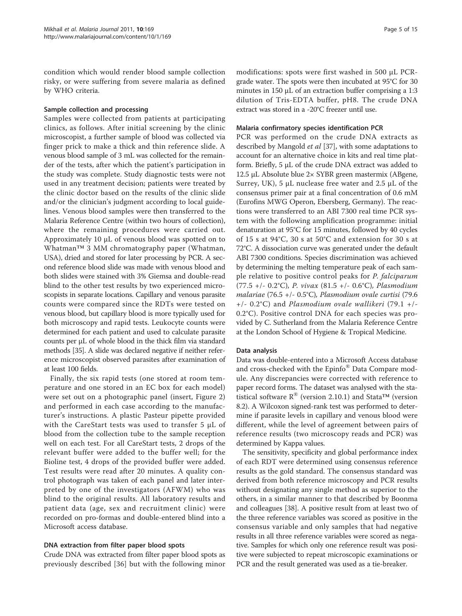condition which would render blood sample collection risky, or were suffering from severe malaria as defined by WHO criteria.

#### Sample collection and processing

Samples were collected from patients at participating clinics, as follows. After initial screening by the clinic microscopist, a further sample of blood was collected via finger prick to make a thick and thin reference slide. A venous blood sample of 3 mL was collected for the remainder of the tests, after which the patient's participation in the study was complete. Study diagnostic tests were not used in any treatment decision; patients were treated by the clinic doctor based on the results of the clinic slide and/or the clinician's judgment according to local guidelines. Venous blood samples were then transferred to the Malaria Reference Centre (within two hours of collection), where the remaining procedures were carried out. Approximately 10 μL of venous blood was spotted on to Whatman™ 3 MM chromatography paper (Whatman, USA), dried and stored for later processing by PCR. A second reference blood slide was made with venous blood and both slides were stained with 3% Giemsa and double-read blind to the other test results by two experienced microscopists in separate locations. Capillary and venous parasite counts were compared since the RDTs were tested on venous blood, but capillary blood is more typically used for both microscopy and rapid tests. Leukocyte counts were determined for each patient and used to calculate parasite counts per μL of whole blood in the thick film via standard methods [\[35\]](#page-14-0). A slide was declared negative if neither reference microscopist observed parasites after examination of at least 100 fields.

Finally, the six rapid tests (one stored at room temperature and one stored in an EC box for each model) were set out on a photographic panel (insert, Figure [2](#page-5-0)) and performed in each case according to the manufacturer's instructions. A plastic Pasteur pipette provided with the CareStart tests was used to transfer 5 μL of blood from the collection tube to the sample reception well on each test. For all CareStart tests, 2 drops of the relevant buffer were added to the buffer well; for the Bioline test, 4 drops of the provided buffer were added. Test results were read after 20 minutes. A quality control photograph was taken of each panel and later interpreted by one of the investigators (AFWM) who was blind to the original results. All laboratory results and patient data (age, sex and recruitment clinic) were recorded on pro-formas and double-entered blind into a Microsoft access database.

#### DNA extraction from filter paper blood spots

Crude DNA was extracted from filter paper blood spots as previously described [[36](#page-14-0)] but with the following minor

modifications: spots were first washed in 500 μL PCRgrade water. The spots were then incubated at 95°C for 30 minutes in 150 μL of an extraction buffer comprising a 1:3 dilution of Tris-EDTA buffer, pH8. The crude DNA extract was stored in a -20°C freezer until use.

#### Malaria confirmatory species identification PCR

PCR was performed on the crude DNA extracts as described by Mangold et al [[37\]](#page-14-0), with some adaptations to account for an alternative choice in kits and real time platform. Briefly, 5 μL of the crude DNA extract was added to 12.5 μL Absolute blue 2× SYBR green mastermix (ABgene, Surrey, UK), 5 μL nuclease free water and 2.5 μL of the consensus primer pair at a final concentration of 0.6 mM (Eurofins MWG Operon, Ebersberg, Germany). The reactions were transferred to an ABI 7300 real time PCR system with the following amplification programme: initial denaturation at 95°C for 15 minutes, followed by 40 cycles of 15 s at 94°C, 30 s at 50°C and extension for 30 s at 72°C. A dissociation curve was generated under the default ABI 7300 conditions. Species discrimination was achieved by determining the melting temperature peak of each sample relative to positive control peaks for P. falciparum (77.5 +/- 0.2°C), P. vivax (81.5 +/- 0.6°C), Plasmodium malariae (76.5 +/- 0.5°C), Plasmodium ovale curtisi (79.6  $+/-$  0.2°C) and Plasmodium ovale wallikeri (79.1  $+/-$ 0.2°C). Positive control DNA for each species was provided by C. Sutherland from the Malaria Reference Centre at the London School of Hygiene & Tropical Medicine.

#### Data analysis

Data was double-entered into a Microsoft Access database and cross-checked with the Epinfo<sup>®</sup> Data Compare module. Any discrepancies were corrected with reference to paper record forms. The dataset was analysed with the statistical software  $R^{\textcircled{\tiny{\textregistered}}}$  (version 2.10.1) and Stata<sup>TM</sup> (version 8.2). A Wilcoxon signed-rank test was performed to determine if parasite levels in capillary and venous blood were different, while the level of agreement between pairs of reference results (two microscopy reads and PCR) was determined by Kappa values.

The sensitivity, specificity and global performance index of each RDT were determined using consensus reference results as the gold standard. The consensus standard was derived from both reference microscopy and PCR results without designating any single method as superior to the others, in a similar manner to that described by Boonma and colleagues [\[38](#page-14-0)]. A positive result from at least two of the three reference variables was scored as positive in the consensus variable and only samples that had negative results in all three reference variables were scored as negative. Samples for which only one reference result was positive were subjected to repeat microscopic examinations or PCR and the result generated was used as a tie-breaker.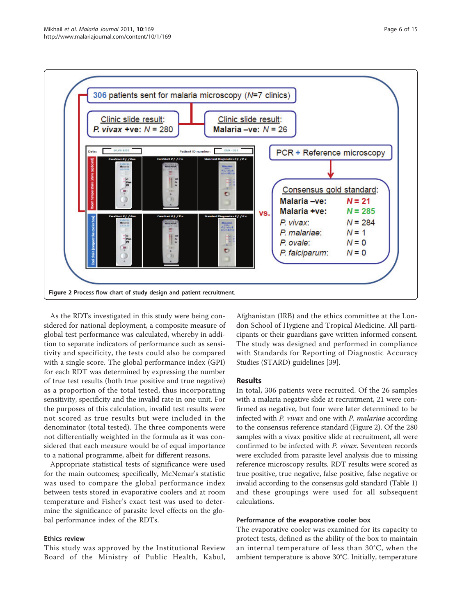<span id="page-5-0"></span>

As the RDTs investigated in this study were being considered for national deployment, a composite measure of global test performance was calculated, whereby in addition to separate indicators of performance such as sensitivity and specificity, the tests could also be compared with a single score. The global performance index (GPI) for each RDT was determined by expressing the number of true test results (both true positive and true negative) as a proportion of the total tested, thus incorporating sensitivity, specificity and the invalid rate in one unit. For the purposes of this calculation, invalid test results were not scored as true results but were included in the denominator (total tested). The three components were not differentially weighted in the formula as it was considered that each measure would be of equal importance to a national programme, albeit for different reasons.

Appropriate statistical tests of significance were used for the main outcomes; specifically, McNemar's statistic was used to compare the global performance index between tests stored in evaporative coolers and at room temperature and Fisher's exact test was used to determine the significance of parasite level effects on the global performance index of the RDTs.

## Ethics review

This study was approved by the Institutional Review Board of the Ministry of Public Health, Kabul,

Afghanistan (IRB) and the ethics committee at the London School of Hygiene and Tropical Medicine. All participants or their guardians gave written informed consent. The study was designed and performed in compliance with Standards for Reporting of Diagnostic Accuracy Studies (STARD) guidelines [[39\]](#page-14-0).

#### Results

In total, 306 patients were recruited. Of the 26 samples with a malaria negative slide at recruitment, 21 were confirmed as negative, but four were later determined to be infected with P. vivax and one with P. malariae according to the consensus reference standard (Figure 2). Of the 280 samples with a vivax positive slide at recruitment, all were confirmed to be infected with P. vivax. Seventeen records were excluded from parasite level analysis due to missing reference microscopy results. RDT results were scored as true positive, true negative, false positive, false negative or invalid according to the consensus gold standard (Table [1](#page-6-0)) and these groupings were used for all subsequent calculations.

## Performance of the evaporative cooler box

The evaporative cooler was examined for its capacity to protect tests, defined as the ability of the box to maintain an internal temperature of less than 30°C, when the ambient temperature is above 30°C. Initially, temperature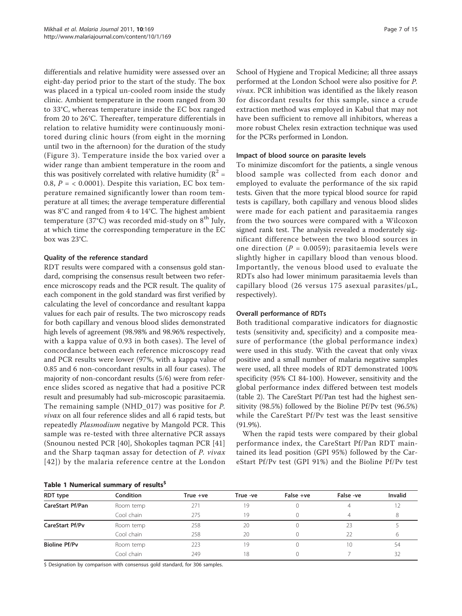<span id="page-6-0"></span>differentials and relative humidity were assessed over an eight-day period prior to the start of the study. The box was placed in a typical un-cooled room inside the study clinic. Ambient temperature in the room ranged from 30 to 33°C, whereas temperature inside the EC box ranged from 20 to 26°C. Thereafter, temperature differentials in relation to relative humidity were continuously monitored during clinic hours (from eight in the morning until two in the afternoon) for the duration of the study (Figure [3\)](#page-7-0). Temperature inside the box varied over a wider range than ambient temperature in the room and this was positively correlated with relative humidity ( $\mathbb{R}^2$  = 0.8,  $P =$  < 0.0001). Despite this variation, EC box temperature remained significantly lower than room temperature at all times; the average temperature differential was 8°C and ranged from 4 to 14°C. The highest ambient temperature (37 $^{\circ}$ C) was recorded mid-study on 8<sup>th</sup> July, at which time the corresponding temperature in the EC box was 23°C.

## Quality of the reference standard

RDT results were compared with a consensus gold standard, comprising the consensus result between two reference microscopy reads and the PCR result. The quality of each component in the gold standard was first verified by calculating the level of concordance and resultant kappa values for each pair of results. The two microscopy reads for both capillary and venous blood slides demonstrated high levels of agreement (98.98% and 98.96% respectively, with a kappa value of 0.93 in both cases). The level of concordance between each reference microscopy read and PCR results were lower (97%, with a kappa value of 0.85 and 6 non-concordant results in all four cases). The majority of non-concordant results (5/6) were from reference slides scored as negative that had a positive PCR result and presumably had sub-microscopic parasitaemia. The remaining sample (NHD\_017) was positive for P. vivax on all four reference slides and all 6 rapid tests, but repeatedly Plasmodium negative by Mangold PCR. This sample was re-tested with three alternative PCR assays (Snounou nested PCR [[40\]](#page-14-0), Shokoples taqman PCR [\[41](#page-14-0)] and the Sharp taqman assay for detection of P. vivax [[42](#page-14-0)]) by the malaria reference centre at the London

Table 1 Numerical summary of results<sup>\$</sup>

School of Hygiene and Tropical Medicine; all three assays performed at the London School were also positive for P. vivax. PCR inhibition was identified as the likely reason for discordant results for this sample, since a crude extraction method was employed in Kabul that may not have been sufficient to remove all inhibitors, whereas a more robust Chelex resin extraction technique was used for the PCRs performed in London.

## Impact of blood source on parasite levels

To minimize discomfort for the patients, a single venous blood sample was collected from each donor and employed to evaluate the performance of the six rapid tests. Given that the more typical blood source for rapid tests is capillary, both capillary and venous blood slides were made for each patient and parasitaemia ranges from the two sources were compared with a Wilcoxon signed rank test. The analysis revealed a moderately significant difference between the two blood sources in one direction ( $P = 0.0059$ ); parasitaemia levels were slightly higher in capillary blood than venous blood. Importantly, the venous blood used to evaluate the RDTs also had lower minimum parasitaemia levels than capillary blood (26 versus 175 asexual parasites/μL, respectively).

#### Overall performance of RDTs

Both traditional comparative indicators for diagnostic tests (sensitivity and, specificity) and a composite measure of performance (the global performance index) were used in this study. With the caveat that only vivax positive and a small number of malaria negative samples were used, all three models of RDT demonstrated 100% specificity (95% CI 84-100). However, sensitivity and the global performance index differed between test models (table [2\)](#page-7-0). The CareStart Pf/Pan test had the highest sensitivity (98.5%) followed by the Bioline Pf/Pv test (96.5%) while the CareStart Pf/Pv test was the least sensitive (91.9%).

When the rapid tests were compared by their global performance index, the CareStart Pf/Pan RDT maintained its lead position (GPI 95%) followed by the CareStart Pf/Pv test (GPI 91%) and the Bioline Pf/Pv test

| RDT type             | <b>Condition</b> | True $+ve$ | True -ve | False +ve | False -ve | <b>Invalid</b> |
|----------------------|------------------|------------|----------|-----------|-----------|----------------|
| CareStart Pf/Pan     | Room temp        | 271        | 19       |           |           |                |
|                      | Cool chain       | 275        | 19       |           |           |                |
| CareStart Pf/Pv      | Room temp        | 258        | 20       |           |           |                |
|                      | Cool chain       | 258        | 20       |           |           | 6              |
| <b>Bioline Pf/Pv</b> | Room temp        | 223        | 19       |           | 10        | 54             |
|                      | Cool chain       | 249        | 18       |           |           | 32             |

\$ Designation by comparison with consensus gold standard, for 306 samples.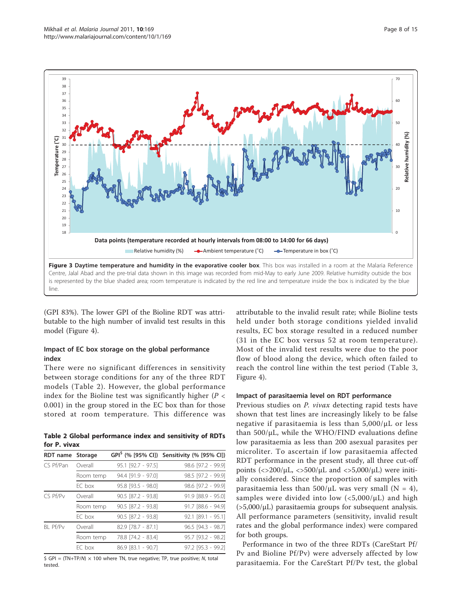<span id="page-7-0"></span>

(GPI 83%). The lower GPI of the Bioline RDT was attributable to the high number of invalid test results in this model (Figure [4](#page-8-0)).

## Impact of EC box storage on the global performance index

There were no significant differences in sensitivity between storage conditions for any of the three RDT models (Table 2). However, the global performance index for the Bioline test was significantly higher ( $P <$ 0.001) in the group stored in the EC box than for those stored at room temperature. This difference was

Table 2 Global performance index and sensitivity of RDTs for P. vivax

| RDT name Storage |           |                    | GPI <sup>5</sup> (% [95% CI]) Sensitivity (% [95% CI]) |
|------------------|-----------|--------------------|--------------------------------------------------------|
| CS Pf/Pan        | Overall   | 95.1 [92.7 - 97.5] | 98.6 [97.2 - 99.9]                                     |
|                  | Room temp | 94.4 [91.9 - 97.0] | 98.5 [97.2 - 99.9]                                     |
|                  | EC box    | 95.8 [93.5 - 98.0] | 98.6 [97.2 - 99.9]                                     |
| CS Pf/Pv         | Overall   | 90.5 [87.2 - 93.8] | 91.9 [88.9 - 95.0]                                     |
|                  | Room temp | 90.5 [87.2 - 93.8] | 91.7 [88.6 - 94.9]                                     |
|                  | FC box    | 90.5 [87.2 - 93.8] | 92.1 [89.1 - 95.1]                                     |
| BL Pf/Pv         | Overall   | 82.9 [78.7 - 87.1] | 96.5 [94.3 - 98.7]                                     |
|                  | Room temp | 78.8 [74.2 - 83.4] | 95.7 [93.2 - 98.2]                                     |
|                  | $FC$ hox  | 86.9 [83.1 - 90.7] | 97.2 [95.3 - 99.2]                                     |

 $$ GPI = (TN+TP/N) \times 100$  where TN, true negative; TP, true positive; N, total tested.

attributable to the invalid result rate; while Bioline tests held under both storage conditions yielded invalid results, EC box storage resulted in a reduced number (31 in the EC box versus 52 at room temperature). Most of the invalid test results were due to the poor flow of blood along the device, which often failed to reach the control line within the test period (Table [3](#page-8-0), Figure [4](#page-8-0)).

#### Impact of parasitaemia level on RDT performance

Previous studies on P. vivax detecting rapid tests have shown that test lines are increasingly likely to be false negative if parasitaemia is less than 5,000/μL or less than  $500/\mu L$ , while the WHO/FIND evaluations define low parasitaemia as less than 200 asexual parasites per microliter. To ascertain if low parasitaemia affected RDT performance in the present study, all three cut-off points  $\frac{\left|200\mu L\right|}{\left|2500\mu L\right|}$  and  $\frac{\left|2500\mu L\right|}{\left|2500\mu L\right|}$  were initially considered. Since the proportion of samples with parasitaemia less than  $500/\mu$ L was very small (N = 4), samples were divided into low  $\left\langle \frac{5,000}{\mu L} \right\rangle$  and high  $(>5,000/\mu L)$  parasitaemia groups for subsequent analysis. All performance parameters (sensitivity, invalid result rates and the global performance index) were compared for both groups.

Performance in two of the three RDTs (CareStart Pf/ Pv and Bioline Pf/Pv) were adversely affected by low parasitaemia. For the CareStart Pf/Pv test, the global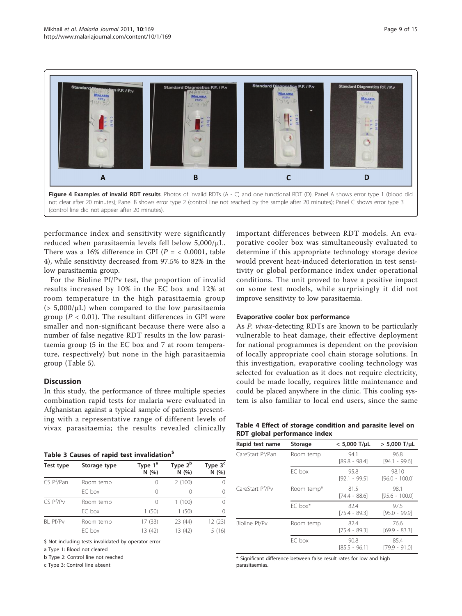<span id="page-8-0"></span>

performance index and sensitivity were significantly reduced when parasitaemia levels fell below 5,000/μL. There was a 16% difference in GPI ( $P = < 0.0001$ , table 4), while sensitivity decreased from 97.5% to 82% in the low parasitaemia group.

For the Bioline Pf/Pv test, the proportion of invalid results increased by 10% in the EC box and 12% at room temperature in the high parasitaemia group  $(> 5,000/\mu L)$  when compared to the low parasitaemia group ( $P < 0.01$ ). The resultant differences in GPI were smaller and non-significant because there were also a number of false negative RDT results in the low parasitaemia group (5 in the EC box and 7 at room temperature, respectively) but none in the high parasitaemia group (Table [5\)](#page-9-0).

## **Discussion**

In this study, the performance of three multiple species combination rapid tests for malaria were evaluated in Afghanistan against a typical sample of patients presenting with a representative range of different levels of vivax parasitaemia; the results revealed clinically

Table 3 Causes of rapid test invalidation<sup>5</sup>

| Test type | Storage type | Type 1 <sup>a</sup><br>N(%) | Type 2 <sup>b</sup><br>N(%) | Type 3 <sup>c</sup><br>N(%) |
|-----------|--------------|-----------------------------|-----------------------------|-----------------------------|
| CS Pf/Pan | Room temp    | 0                           | 2(100)                      | 0                           |
|           | EC box       | $\Omega$                    | 0                           | $\bigcirc$                  |
| CS Pf/Pv  | Room temp    | $\Omega$                    | 1(100)                      | 0                           |
|           | EC box       | 1(50)                       | 1(50)                       | $\bigcap$                   |
| BL Pf/Pv  | Room temp    | 17(33)                      | 23(44)                      | 12(23)                      |
|           | EC box       | 13 (42)                     | 13 (42)                     | 5(16)                       |

\$ Not including tests invalidated by operator error

a Type 1: Blood not cleared

b Type 2: Control line not reached

c Type 3: Control line absent

important differences between RDT models. An evaporative cooler box was simultaneously evaluated to determine if this appropriate technology storage device would prevent heat-induced deterioration in test sensitivity or global performance index under operational conditions. The unit proved to have a positive impact on some test models, while surprisingly it did not improve sensitivity to low parasitaemia.

#### Evaporative cooler box performance

As P. vivax-detecting RDTs are known to be particularly vulnerable to heat damage, their effective deployment for national programmes is dependent on the provision of locally appropriate cool chain storage solutions. In this investigation, evaporative cooling technology was selected for evaluation as it does not require electricity, could be made locally, requires little maintenance and could be placed anywhere in the clinic. This cooling system is also familiar to local end users, since the same

## Table 4 Effect of storage condition and parasite level on RDT global performance index

| Rapid test name  | <b>Storage</b> | $< 5,000$ T/ $\mu$ L    | $> 5,000$ T/µL            |  |
|------------------|----------------|-------------------------|---------------------------|--|
| CareStart Pf/Pan | Room temp      | 94.1<br>189.8 - 98.41   | 96.8<br>[94.1 - 99.6]     |  |
|                  | FC box         | 95.8<br>[92.1 - 99.5]   | 98.10<br>$[96.0 - 100.0]$ |  |
| CareStart Pf/Pv  | Room temp*     | 81.5<br>[74.4 - 88.6]   | 98.1<br>[95.6 - 100.0]    |  |
|                  | $FC$ box*      | 82.4<br>[75.4 - 89.3]   | 97.5<br>[95.0 - 99.9]     |  |
| Bioline Pf/Pv    | Room temp      | 82.4<br>$[75.4 - 89.3]$ | 76.6<br>$[69.9 - 83.3]$   |  |
|                  | FC box         | 90.8<br>[85.5 - 96.1]   | 85.4<br>[79.9 - 91.0]     |  |

\* Significant difference between false result rates for low and high parasitaemias.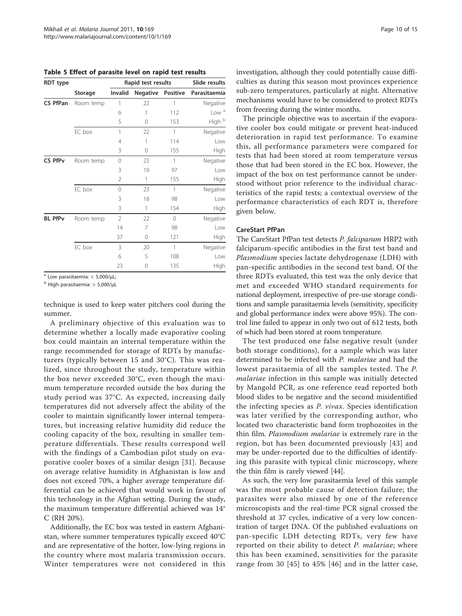<span id="page-9-0"></span>Table 5 Effect of parasite level on rapid test results

| RDT type       |           | Rapid test results |          |          | Slide results    |  |
|----------------|-----------|--------------------|----------|----------|------------------|--|
|                | Storage   | Invalid            | Negative | Positive | Parasitaemia     |  |
| CS PfPan       | Room temp | 1                  | 22       | 1        | Negative         |  |
|                |           | 6                  | 1        | 112      | Low <sup>a</sup> |  |
|                |           | 5                  | $\Omega$ | 153      | High b           |  |
|                | EC box    | 1                  | 22       | 1        | Negative         |  |
|                |           | 4                  | 1        | 114      | Low              |  |
|                |           | 3                  | 0        | 155      | High             |  |
| CS PfPv        | Room temp | $\mathbf{0}$       | 23       | 1        | Negative         |  |
|                |           | 3                  | 19       | 97       | Low              |  |
|                |           | 2                  | 1        | 155      | High             |  |
|                | EC box    | $\Omega$           | 23       | 1        | Negative         |  |
|                |           | 3                  | 18       | 98       | Low              |  |
|                |           | 3                  | 1        | 154      | High             |  |
| <b>BL PfPv</b> | Room temp | $\overline{2}$     | 22       | $\Omega$ | Negative         |  |
|                |           | 14                 | 7        | 98       | Low              |  |
|                |           | 37                 | 0        | 121      | High             |  |
|                | EC box    | 3                  | 20       | 1        | Negative         |  |
|                |           | 6                  | 5        | 108      | Low              |  |
|                |           | 23                 | 0        | 135      | High             |  |

 $a$  Low parasitaemia:  $<$  5,000/ $\mu$ L;

<sup>b</sup> High parasitaemia: > 5,000/μL

technique is used to keep water pitchers cool during the summer.

A preliminary objective of this evaluation was to determine whether a locally made evaporative cooling box could maintain an internal temperature within the range recommended for storage of RDTs by manufacturers (typically between 15 and 30°C). This was realized, since throughout the study, temperature within the box never exceeded 30°C, even though the maximum temperature recorded outside the box during the study period was 37°C. As expected, increasing daily temperatures did not adversely affect the ability of the cooler to maintain significantly lower internal temperatures, but increasing relative humidity did reduce the cooling capacity of the box, resulting in smaller temperature differentials. These results correspond well with the findings of a Cambodian pilot study on evaporative cooler boxes of a similar design [[31\]](#page-14-0). Because on average relative humidity in Afghanistan is low and does not exceed 70%, a higher average temperature differential can be achieved that would work in favour of this technology in the Afghan setting. During the study, the maximum temperature differential achieved was 14° C (RH 20%).

Additionally, the EC box was tested in eastern Afghanistan, where summer temperatures typically exceed 40°C and are representative of the hotter, low-lying regions in the country where most malaria transmission occurs. Winter temperatures were not considered in this investigation, although they could potentially cause difficulties as during this season most provinces experience sub-zero temperatures, particularly at night. Alternative mechanisms would have to be considered to protect RDTs from freezing during the winter months.

The principle objective was to ascertain if the evaporative cooler box could mitigate or prevent heat-induced deterioration in rapid test performance. To examine this, all performance parameters were compared for tests that had been stored at room temperature versus those that had been stored in the EC box. However, the impact of the box on test performance cannot be understood without prior reference to the individual characteristics of the rapid tests; a contextual overview of the performance characteristics of each RDT is, therefore given below.

#### CareStart PfPan

The CareStart PfPan test detects P. falciparum HRP2 with falciparum-specific antibodies in the first test band and Plasmodium species lactate dehydrogenase (LDH) with pan-specific antibodies in the second test band. Of the three RDTs evaluated, this test was the only device that met and exceeded WHO standard requirements for national deployment, irrespective of pre-use storage conditions and sample parasitaemia levels (sensitivity, specificity and global performance index were above 95%). The control line failed to appear in only two out of 612 tests, both of which had been stored at room temperature.

The test produced one false negative result (under both storage conditions), for a sample which was later determined to be infected with P. malariae and had the lowest parasitaemia of all the samples tested. The P. malariae infection in this sample was initially detected by Mangold PCR, as one reference read reported both blood slides to be negative and the second misidentified the infecting species as P. vivax. Species identification was later verified by the corresponding author, who located two characteristic band form trophozoites in the thin film. Plasmodium malariae is extremely rare in the region, but has been documented previously [[43](#page-14-0)] and may be under-reported due to the difficulties of identifying this parasite with typical clinic microscopy, where the thin film is rarely viewed [[44](#page-14-0)].

As such, the very low parasitaemia level of this sample was the most probable cause of detection failure; the parasites were also missed by one of the reference microscopists and the real-time PCR signal crossed the threshold at 37 cycles, indicative of a very low concentration of target DNA. Of the published evaluations on pan-specific LDH detecting RDTs, very few have reported on their ability to detect P. malariae; where this has been examined, sensitivities for the parasite range from 30 [\[45\]](#page-14-0) to 45% [[46](#page-14-0)] and in the latter case,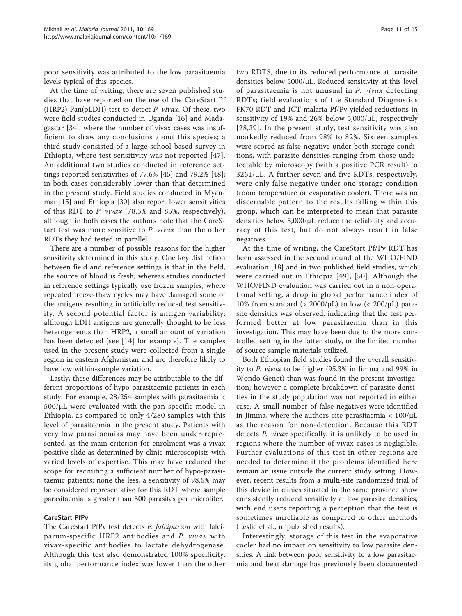poor sensitivity was attributed to the low parasitaemia levels typical of this species.

At the time of writing, there are seven published studies that have reported on the use of the CareStart Pf (HRP2) Pan(pLDH) test to detect P. vivax. Of these, two were field studies conducted in Uganda [[16\]](#page-13-0) and Madagascar [[34\]](#page-14-0), where the number of vivax cases was insufficient to draw any conclusions about this species; a third study consisted of a large school-based survey in Ethiopia, where test sensitivity was not reported [[47\]](#page-14-0). An additional two studies conducted in reference settings reported sensitivities of 77.6% [\[45](#page-14-0)] and 79.2% [\[48](#page-14-0)]; in both cases considerably lower than that determined in the present study. Field studies conducted in Myanmar [\[15](#page-13-0)] and Ethiopia [\[30\]](#page-14-0) also report lower sensitivities of this RDT to P. vivax (78.5% and 85%, respectively), although in both cases the authors note that the CareStart test was more sensitive to P. vivax than the other RDTs they had tested in parallel.

There are a number of possible reasons for the higher sensitivity determined in this study. One key distinction between field and reference settings is that in the field, the source of blood is fresh, whereas studies conducted in reference settings typically use frozen samples, where repeated freeze-thaw cycles may have damaged some of the antigens resulting in artificially reduced test sensitivity. A second potential factor is antigen variability; although LDH antigens are generally thought to be less heterogeneous than HRP2, a small amount of variation has been detected (see [[14](#page-13-0)] for example). The samples used in the present study were collected from a single region in eastern Afghanistan and are therefore likely to have low within-sample variation.

Lastly, these differences may be attributable to the different proportions of hypo-parasitaemic patients in each study. For example, 28/254 samples with parasitaemia < 500/μL were evaluated with the pan-specific model in Ethiopia, as compared to only 4/280 samples with this level of parasitaemia in the present study. Patients with very low parasitaemias may have been under-represented, as the main criterion for enrolment was a vivax positive slide as determined by clinic microscopists with varied levels of expertise. This may have reduced the scope for recruiting a sufficient number of hypo-parasitaemic patients; none the less, a sensitivity of 98.6% may be considered representative for this RDT where sample parasitaemia is greater than 500 parasites per microliter.

#### CareStart PfPv

The CareStart PfPv test detects P. falciparum with falciparum-specific HRP2 antibodies and P. vivax with vivax-specific antibodies to lactate dehydrogenase. Although this test also demonstrated 100% specificity, its global performance index was lower than the other

two RDTS, due to its reduced performance at parasite densities below 5000/μL. Reduced sensitivity at this level of parasitaemia is not unusual in P. vivax detecting RDTs; field evaluations of the Standard Diagnostics FK70 RDT and ICT malaria Pf/Pv yielded reductions in sensitivity of 19% and 26% below 5,000/μL, respectively [[28,29](#page-14-0)]. In the present study, test sensitivity was also markedly reduced from 98% to 82%. Sixteen samples were scored as false negative under both storage conditions, with parasite densities ranging from those undetectable by microscopy (with a positive PCR result) to  $3261/\mu L$ . A further seven and five RDTs, respectively, were only false negative under one storage condition (room temperature or evaporative cooler). There was no discernable pattern to the results falling within this group, which can be interpreted to mean that parasite densities below  $5,000/\mu L$  reduce the reliability and accuracy of this test, but do not always result in false negatives.

At the time of writing, the CareStart Pf/Pv RDT has been assessed in the second round of the WHO/FIND evaluation [[18\]](#page-13-0) and in two published field studies, which were carried out in Ethiopia [[49](#page-14-0)], [\[50\]](#page-14-0). Although the WHO/FIND evaluation was carried out in a non-operational setting, a drop in global performance index of 10% from standard (> 2000/μL) to low (< 200/μL) parasite densities was observed, indicating that the test performed better at low parasitaemia than in this investigation. This may have been due to the more controlled setting in the latter study, or the limited number of source sample materials utilized.

Both Ethiopian field studies found the overall sensitivity to P. vivax to be higher (95.3% in Jimma and 99% in Wondo Genet) than was found in the present investigation; however a complete breakdown of parasite densities in the study population was not reported in either case. A small number of false negatives were identified in Jimma, where the authors cite parasitaemia  $< 100/\mu L$ as the reason for non-detection. Because this RDT detects P. vivax specifically, it is unlikely to be used in regions where the number of vivax cases is negligible. Further evaluations of this test in other regions are needed to determine if the problems identified here remain an issue outside the current study setting. However, recent results from a multi-site randomized trial of this device in clinics situated in the same province show consistently reduced sensitivity at low parasite densities, with end users reporting a perception that the test is sometimes unreliable as compared to other methods (Leslie et al., unpublished results).

Interestingly, storage of this test in the evaporative cooler had no impact on sensitivity to low parasite densities. A link between poor sensitivity to a low parasitaemia and heat damage has previously been documented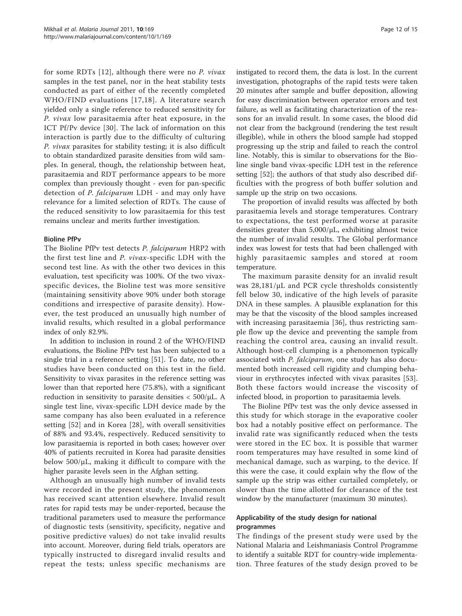for some RDTs [\[12\]](#page-13-0), although there were no P. vivax samples in the test panel, nor in the heat stability tests conducted as part of either of the recently completed WHO/FIND evaluations [[17](#page-13-0),[18](#page-13-0)]. A literature search yielded only a single reference to reduced sensitivity for P. vivax low parasitaemia after heat exposure, in the ICT Pf/Pv device [\[30](#page-14-0)]. The lack of information on this interaction is partly due to the difficulty of culturing P. vivax parasites for stability testing; it is also difficult to obtain standardized parasite densities from wild samples. In general, though, the relationship between heat, parasitaemia and RDT performance appears to be more complex than previously thought - even for pan-specific detection of P. falciparum LDH - and may only have relevance for a limited selection of RDTs. The cause of the reduced sensitivity to low parasitaemia for this test remains unclear and merits further investigation.

## Bioline PfPv

The Bioline PfPv test detects P. falciparum HRP2 with the first test line and P. vivax-specific LDH with the second test line. As with the other two devices in this evaluation, test specificity was 100%. Of the two vivaxspecific devices, the Bioline test was more sensitive (maintaining sensitivity above 90% under both storage conditions and irrespective of parasite density). However, the test produced an unusually high number of invalid results, which resulted in a global performance index of only 82.9%.

In addition to inclusion in round 2 of the WHO/FIND evaluations, the Bioline PfPv test has been subjected to a single trial in a reference setting [\[51](#page-14-0)]. To date, no other studies have been conducted on this test in the field. Sensitivity to vivax parasites in the reference setting was lower than that reported here (75.8%), with a significant reduction in sensitivity to parasite densities  $< 500/\mu L$ . A single test line, vivax-specific LDH device made by the same company has also been evaluated in a reference setting [\[52\]](#page-14-0) and in Korea [[28](#page-14-0)], with overall sensitivities of 88% and 93.4%, respectively. Reduced sensitivity to low parasitaemia is reported in both cases; however over 40% of patients recruited in Korea had parasite densities below  $500/\mu L$ , making it difficult to compare with the higher parasite levels seen in the Afghan setting.

Although an unusually high number of invalid tests were recorded in the present study, the phenomenon has received scant attention elsewhere. Invalid result rates for rapid tests may be under-reported, because the traditional parameters used to measure the performance of diagnostic tests (sensitivity, specificity, negative and positive predictive values) do not take invalid results into account. Moreover, during field trials, operators are typically instructed to disregard invalid results and repeat the tests; unless specific mechanisms are instigated to record them, the data is lost. In the current investigation, photographs of the rapid tests were taken 20 minutes after sample and buffer deposition, allowing for easy discrimination between operator errors and test failure, as well as facilitating characterization of the reasons for an invalid result. In some cases, the blood did not clear from the background (rendering the test result illegible), while in others the blood sample had stopped progressing up the strip and failed to reach the control line. Notably, this is similar to observations for the Bioline single band vivax-specific LDH test in the reference setting [\[52](#page-14-0)]; the authors of that study also described difficulties with the progress of both buffer solution and sample up the strip on two occasions.

The proportion of invalid results was affected by both parasitaemia levels and storage temperatures. Contrary to expectations, the test performed worse at parasite densities greater than  $5,000/\mu L$ , exhibiting almost twice the number of invalid results. The Global performance index was lowest for tests that had been challenged with highly parasitaemic samples and stored at room temperature.

The maximum parasite density for an invalid result was 28,181/μL and PCR cycle thresholds consistently fell below 30, indicative of the high levels of parasite DNA in these samples. A plausible explanation for this may be that the viscosity of the blood samples increased with increasing parasitaemia [[36\]](#page-14-0), thus restricting sample flow up the device and preventing the sample from reaching the control area, causing an invalid result. Although host-cell clumping is a phenomenon typically associated with P. falciparum, one study has also documented both increased cell rigidity and clumping behaviour in erythrocytes infected with vivax parasites [[53](#page-14-0)]. Both these factors would increase the viscosity of infected blood, in proportion to parasitaemia levels.

The Bioline PfPv test was the only device assessed in this study for which storage in the evaporative cooler box had a notably positive effect on performance. The invalid rate was significantly reduced when the tests were stored in the EC box. It is possible that warmer room temperatures may have resulted in some kind of mechanical damage, such as warping, to the device. If this were the case, it could explain why the flow of the sample up the strip was either curtailed completely, or slower than the time allotted for clearance of the test window by the manufacturer (maximum 30 minutes).

## Applicability of the study design for national programmes

The findings of the present study were used by the National Malaria and Leishmaniasis Control Programme to identify a suitable RDT for country-wide implementation. Three features of the study design proved to be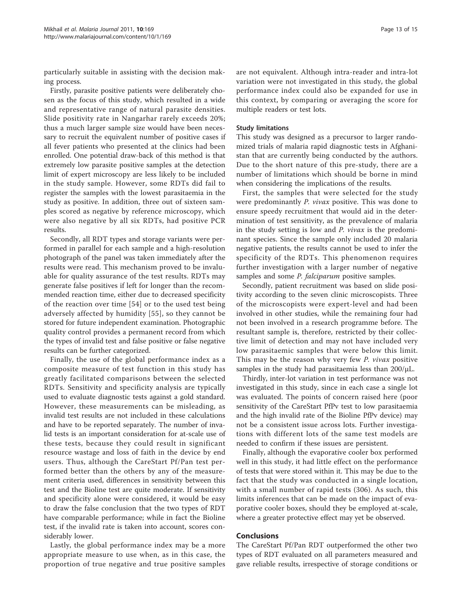particularly suitable in assisting with the decision making process.

Firstly, parasite positive patients were deliberately chosen as the focus of this study, which resulted in a wide and representative range of natural parasite densities. Slide positivity rate in Nangarhar rarely exceeds 20%; thus a much larger sample size would have been necessary to recruit the equivalent number of positive cases if all fever patients who presented at the clinics had been enrolled. One potential draw-back of this method is that extremely low parasite positive samples at the detection limit of expert microscopy are less likely to be included in the study sample. However, some RDTs did fail to register the samples with the lowest parasitaemia in the study as positive. In addition, three out of sixteen samples scored as negative by reference microscopy, which were also negative by all six RDTs, had positive PCR results.

Secondly, all RDT types and storage variants were performed in parallel for each sample and a high-resolution photograph of the panel was taken immediately after the results were read. This mechanism proved to be invaluable for quality assurance of the test results. RDTs may generate false positives if left for longer than the recommended reaction time, either due to decreased specificity of the reaction over time [[54\]](#page-14-0) or to the used test being adversely affected by humidity [[55](#page-14-0)], so they cannot be stored for future independent examination. Photographic quality control provides a permanent record from which the types of invalid test and false positive or false negative results can be further categorized.

Finally, the use of the global performance index as a composite measure of test function in this study has greatly facilitated comparisons between the selected RDTs. Sensitivity and specificity analysis are typically used to evaluate diagnostic tests against a gold standard. However, these measurements can be misleading, as invalid test results are not included in these calculations and have to be reported separately. The number of invalid tests is an important consideration for at-scale use of these tests, because they could result in significant resource wastage and loss of faith in the device by end users. Thus, although the CareStart Pf/Pan test performed better than the others by any of the measurement criteria used, differences in sensitivity between this test and the Bioline test are quite moderate. If sensitivity and specificity alone were considered, it would be easy to draw the false conclusion that the two types of RDT have comparable performance; while in fact the Bioline test, if the invalid rate is taken into account, scores considerably lower.

Lastly, the global performance index may be a more appropriate measure to use when, as in this case, the proportion of true negative and true positive samples are not equivalent. Although intra-reader and intra-lot variation were not investigated in this study, the global performance index could also be expanded for use in this context, by comparing or averaging the score for multiple readers or test lots.

#### Study limitations

This study was designed as a precursor to larger randomized trials of malaria rapid diagnostic tests in Afghanistan that are currently being conducted by the authors. Due to the short nature of this pre-study, there are a number of limitations which should be borne in mind when considering the implications of the results.

First, the samples that were selected for the study were predominantly P. vivax positive. This was done to ensure speedy recruitment that would aid in the determination of test sensitivity, as the prevalence of malaria in the study setting is low and P. vivax is the predominant species. Since the sample only included 20 malaria negative patients, the results cannot be used to infer the specificity of the RDTs. This phenomenon requires further investigation with a larger number of negative samples and some *P. falciparum* positive samples.

Secondly, patient recruitment was based on slide positivity according to the seven clinic microscopists. Three of the microscopists were expert-level and had been involved in other studies, while the remaining four had not been involved in a research programme before. The resultant sample is, therefore, restricted by their collective limit of detection and may not have included very low parasitaemic samples that were below this limit. This may be the reason why very few *P. vivax* positive samples in the study had parasitaemia less than  $200/\mu L$ .

Thirdly, inter-lot variation in test performance was not investigated in this study, since in each case a single lot was evaluated. The points of concern raised here (poor sensitivity of the CareStart PfPv test to low parasitaemia and the high invalid rate of the Bioline PfPv device) may not be a consistent issue across lots. Further investigations with different lots of the same test models are needed to confirm if these issues are persistent.

Finally, although the evaporative cooler box performed well in this study, it had little effect on the performance of tests that were stored within it. This may be due to the fact that the study was conducted in a single location, with a small number of rapid tests (306). As such, this limits inferences that can be made on the impact of evaporative cooler boxes, should they be employed at-scale, where a greater protective effect may yet be observed.

#### Conclusions

The CareStart Pf/Pan RDT outperformed the other two types of RDT evaluated on all parameters measured and gave reliable results, irrespective of storage conditions or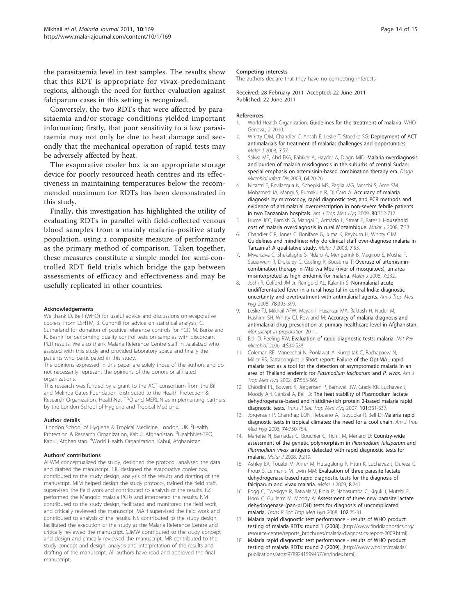<span id="page-13-0"></span>the parasitaemia level in test samples. The results show that this RDT is appropriate for vivax-predominant regions, although the need for further evaluation against falciparum cases in this setting is recognized.

Conversely, the two RDTs that were affected by parasitaemia and/or storage conditions yielded important information; firstly, that poor sensitivity to a low parasitaemia may not only be due to heat damage and secondly that the mechanical operation of rapid tests may be adversely affected by heat.

The evaporative cooler box is an appropriate storage device for poorly resourced heath centres and its effectiveness in maintaining temperatures below the recommended maximum for RDTs has been demonstrated in this study.

Finally, this investigation has highlighted the utility of evaluating RDTs in parallel with field-collected venous blood samples from a mainly malaria-positive study population, using a composite measure of performance as the primary method of comparison. Taken together, these measures constitute a simple model for semi-controlled RDT field trials which bridge the gap between assessments of efficacy and effectiveness and may be usefully replicated in other countries.

#### Acknowledgements

We thank D. Bell (WHO) for useful advice and discussions on evaporative coolers; From LSHTM, B. Cundhill for advice on statistical analysis; C. Sutherland for donation of positive reference controls for PCR, M. Burke and K. Beshir for performing quality control tests on samples with discordant PCR results. We also thank Malaria Reference Centre staff in Jalalabad who assisted with this study and provided laboratory space and finally the patients who participated in this study.

The opinions expressed in this paper are solely those of the authors and do not necessarily represent the opinions of the donors or affiliated organizations.

This research was funded by a grant to the ACT consortium from the Bill and Melinda Gates Foundation, distributed to the Health Protection & Research Organization, HealthNet-TPO and MERLIN as implementing partners by the London School of Hygiene and Tropical Medicine.

#### Author details

<sup>1</sup> London School of Hygiene & Tropical Medicine, London, UK. <sup>2</sup> Health Protection & Research Organization, Kabul, Afghanistan. <sup>3</sup>HealthNet-TPO, Kabul, Afghanistan. <sup>4</sup>World Health Organization, Kabul, Afghanistan.

#### Authors' contributions

AFWM conceptualized the study, designed the protocol, analysed the data and drafted the manuscript. TJL designed the evaporative cooler box, contributed to the study design, analysis of the results and drafting of the manuscript. MIM helped design the study protocol, trained the field staff, supervised the field work and contributed to analysis of the results. RZ performed the Mangold malaria PCRs and interpreted the results. NM contributed to the study design, facilitated and monitored the field work, and critically reviewed the manuscript. MAH supervised the field work and contributed to analysis of the results. NS contributed to the study design, facilitated the execution of the study at the Malaria Reference Centre and critically reviewed the manuscript. CJMW contributed to the study concept and design and critically reviewed the manuscript. MR contributed to the study concept and design, analysis and interpretation of the results and drafting of the manuscript. All authors have read and approved the final manuscript.

#### Competing interests

The authors declare that they have no competing interests.

Received: 28 February 2011 Accepted: 22 June 2011 Published: 22 June 2011

#### References

- 1. World Health Organization: Guidelines for the treatment of malaria. WHO Geneva;, 2 2010.
- 2. Whitty CJM, Chandler C, Ansah E, Leslie T, Staedke SG: [Deployment of ACT](http://www.ncbi.nlm.nih.gov/pubmed/19091041?dopt=Abstract) [antimalarials for treatment of malaria: challenges and opportunities.](http://www.ncbi.nlm.nih.gov/pubmed/19091041?dopt=Abstract) Malar 1 2008, **7**:S7.
- 3. Salwa ME, Abd EKA, Babiker A, Hayder A, Diagn MID: [Malaria overdiagnosis](http://www.ncbi.nlm.nih.gov/pubmed/19362256?dopt=Abstract) [and burden of malaria misdiagnosis in the suburbs of central Sudan:](http://www.ncbi.nlm.nih.gov/pubmed/19362256?dopt=Abstract) [special emphasis on artemisinin-based combination therapy era.](http://www.ncbi.nlm.nih.gov/pubmed/19362256?dopt=Abstract) Diagn Microbiol Infect Dis 2009, 64:20-26.
- 4. Nicastri E, Bevilacqua N, Schepisi MS, Paglia MG, Meschi S, Ame SM, Mohamed JA, Mangi S, Fumakule R, Di Caro A: [Accuracy of malaria](http://www.ncbi.nlm.nih.gov/pubmed/19407111?dopt=Abstract) [diagnosis by microscopy, rapid diagnostic test, and PCR methods and](http://www.ncbi.nlm.nih.gov/pubmed/19407111?dopt=Abstract) [evidence of antimalarial overprescription in non-severe febrile patients](http://www.ncbi.nlm.nih.gov/pubmed/19407111?dopt=Abstract) [in two Tanzanian hospitals.](http://www.ncbi.nlm.nih.gov/pubmed/19407111?dopt=Abstract) Am J Trop Med Hyg 2009, 80:712-717.
- 5. Hume JCC, Barnish G, Mangal T, Armázio L, Streat E, Bates I: [Household](http://www.ncbi.nlm.nih.gov/pubmed/18282270?dopt=Abstract) [cost of malaria overdiagnosis in rural Mozambique.](http://www.ncbi.nlm.nih.gov/pubmed/18282270?dopt=Abstract) Malar J 2008, 7:33.
- 6. Chandler CIR, Jones C, Boniface G, Juma K, Reyburn H, Whitty CJM: [Guidelines and mindlines: why do clinical staff over-diagnose malaria in](http://www.ncbi.nlm.nih.gov/pubmed/18384669?dopt=Abstract) [Tanzania? A qualitative study.](http://www.ncbi.nlm.nih.gov/pubmed/18384669?dopt=Abstract) Malar J 2008, 7:53.
- 7. Mwanziva C, Shekalaghe S, Ndaro A, Mengerink B, Megiroo S, Mosha F, Sauerwein R, Drakeley C, Gosling R, Bousema T: [Overuse of artemisinin](http://www.ncbi.nlm.nih.gov/pubmed/18986520?dopt=Abstract)[combination therapy in Mto wa Mbu \(river of mosquitoes\), an area](http://www.ncbi.nlm.nih.gov/pubmed/18986520?dopt=Abstract) [misinterpreted as high endemic for malaria.](http://www.ncbi.nlm.nih.gov/pubmed/18986520?dopt=Abstract) Malar J 2008, 7:232.
- 8. Joshi R, Colford JM Jr, Reingold AL, Kalantri S: [Nonmalarial acute](http://www.ncbi.nlm.nih.gov/pubmed/18337332?dopt=Abstract) [undifferentiated fever in a rural hospital in central India: diagnostic](http://www.ncbi.nlm.nih.gov/pubmed/18337332?dopt=Abstract) [uncertainty and overtreatment with antimalarial agents.](http://www.ncbi.nlm.nih.gov/pubmed/18337332?dopt=Abstract) Am J Trop Med Hyg 2008, 78:393-399.
- 9. Leslie TJ, Mikhail AFW, Mayan I, Hasanzai MA, Baktash H, Nader M, Hashimi SH, Whitty CJ, Rowland M: Accuracy of malaria diagnosis and antimalarial drug prescription at primary healthcare level in Afghanistan. Manuscript in preparation 2011.
- 10. Bell D, Peeling RW: [Evaluation of rapid diagnostic tests: malaria.](http://www.ncbi.nlm.nih.gov/pubmed/17034070?dopt=Abstract) Nat Rev Microbiol 2006, 4:S34-S38.
- 11. Coleman RE, Maneechai N, Ponlawat A, Kumpitak C, Rachapaew N, Miller RS, Sattabongkot J: [Short report: Failure of the OptiMAL rapid](http://www.ncbi.nlm.nih.gov/pubmed/12518844?dopt=Abstract) [malaria test as a tool for the detection of asymptomatic malaria in an](http://www.ncbi.nlm.nih.gov/pubmed/12518844?dopt=Abstract) [area of Thailand endemic for](http://www.ncbi.nlm.nih.gov/pubmed/12518844?dopt=Abstract) Plasmodium falciparum and P. vivax. Am J Trop Med Hyg 2002, 67:563-565.
- 12. Chiodini PL, Bowers K, Jorgensen P, Barnwell JW, Grady KK, Luchavez J, Moody AH, Cenizal A, Bell D: [The heat stability of Plasmodium lactate](http://www.ncbi.nlm.nih.gov/pubmed/17212967?dopt=Abstract) [dehydrogenase-based and histidine-rich protein 2-based malaria rapid](http://www.ncbi.nlm.nih.gov/pubmed/17212967?dopt=Abstract) [diagnostic tests.](http://www.ncbi.nlm.nih.gov/pubmed/17212967?dopt=Abstract) Trans R Soc Trop Med Hyg 2007, 101:331-337.
- 13. Jorgensen P, Chanthap LON, Rebueno A, Tsuyuoka R, Bell D: [Malaria rapid](http://www.ncbi.nlm.nih.gov/pubmed/16687674?dopt=Abstract) [diagnostic tests in tropical climates: the need for a cool chain.](http://www.ncbi.nlm.nih.gov/pubmed/16687674?dopt=Abstract) Am J Trop Med Hyg 2006, 74:750-754.
- 14. Mariette N, Barnadas C, Bouchier C, Tichit M, Ménard D: [Country-wide](http://www.ncbi.nlm.nih.gov/pubmed/18957099?dopt=Abstract) [assessment of the genetic polymorphism in](http://www.ncbi.nlm.nih.gov/pubmed/18957099?dopt=Abstract) Plasmodium falciparum and Plasmodium vivax [antigens detected with rapid diagnostic tests for](http://www.ncbi.nlm.nih.gov/pubmed/18957099?dopt=Abstract) [malaria.](http://www.ncbi.nlm.nih.gov/pubmed/18957099?dopt=Abstract) Malar J 2008, 7:219.
- 15. Ashley EA, Touabi M, Ahrer M, Hutagalung R, Htun K, Luchavez J, Dureza C, Proux S, Leimanis M, Lwin MM: [Evaluation of three parasite lactate](http://www.ncbi.nlm.nih.gov/pubmed/19860920?dopt=Abstract) [dehydrogenase-based rapid diagnostic tests for the diagnosis of](http://www.ncbi.nlm.nih.gov/pubmed/19860920?dopt=Abstract) [falciparum and vivax malaria.](http://www.ncbi.nlm.nih.gov/pubmed/19860920?dopt=Abstract) Malar J 2009, 8:241.
- 16. Fogg C, Twesigye R, Batwala V, Piola P, Nabasumba C, Kiguli J, Mutebi F, Hook C, Guillerm M, Moody A: [Assessment of three new parasite lactate](http://www.ncbi.nlm.nih.gov/pubmed/18031779?dopt=Abstract) [dehydrogenase \(pan-pLDH\) tests for diagnosis of uncomplicated](http://www.ncbi.nlm.nih.gov/pubmed/18031779?dopt=Abstract) [malaria.](http://www.ncbi.nlm.nih.gov/pubmed/18031779?dopt=Abstract) Trans R Soc Trop Med Hyg 2008, 102:25-31.
- 17. Malaria rapid diagnostic test performance results of WHO product testing of malaria RDTs: round 1 (2008). [[http://www.finddiagnostics.org/](http://www.finddiagnostics.org/resource-centre/reports_brochures/malaria-diagnostics-report-2009.html) [resource-centre/reports\\_brochures/malaria-diagnostics-report-2009.html\]](http://www.finddiagnostics.org/resource-centre/reports_brochures/malaria-diagnostics-report-2009.html).
- 18. Malaria rapid diagnostic test performance results of WHO product testing of malaria RDTs: round 2 (2009). [[http://www.who.int/malaria/](http://www.who.int/malaria/publications/atoz/9789241599467/en/index.html) [publications/atoz/9789241599467/en/index.html\]](http://www.who.int/malaria/publications/atoz/9789241599467/en/index.html).